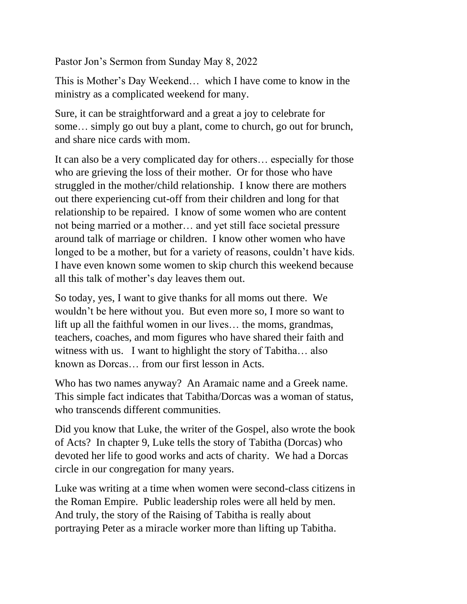Pastor Jon's Sermon from Sunday May 8, 2022

This is Mother's Day Weekend… which I have come to know in the ministry as a complicated weekend for many.

Sure, it can be straightforward and a great a joy to celebrate for some… simply go out buy a plant, come to church, go out for brunch, and share nice cards with mom.

It can also be a very complicated day for others… especially for those who are grieving the loss of their mother. Or for those who have struggled in the mother/child relationship. I know there are mothers out there experiencing cut-off from their children and long for that relationship to be repaired. I know of some women who are content not being married or a mother… and yet still face societal pressure around talk of marriage or children. I know other women who have longed to be a mother, but for a variety of reasons, couldn't have kids. I have even known some women to skip church this weekend because all this talk of mother's day leaves them out.

So today, yes, I want to give thanks for all moms out there. We wouldn't be here without you. But even more so, I more so want to lift up all the faithful women in our lives… the moms, grandmas, teachers, coaches, and mom figures who have shared their faith and witness with us. I want to highlight the story of Tabitha… also known as Dorcas… from our first lesson in Acts.

Who has two names anyway? An Aramaic name and a Greek name. This simple fact indicates that Tabitha/Dorcas was a woman of status, who transcends different communities.

Did you know that Luke, the writer of the Gospel, also wrote the book of Acts? In chapter 9, Luke tells the story of Tabitha (Dorcas) who devoted her life to good works and acts of charity. We had a Dorcas circle in our congregation for many years.

Luke was writing at a time when women were second-class citizens in the Roman Empire. Public leadership roles were all held by men. And truly, the story of the Raising of Tabitha is really about portraying Peter as a miracle worker more than lifting up Tabitha.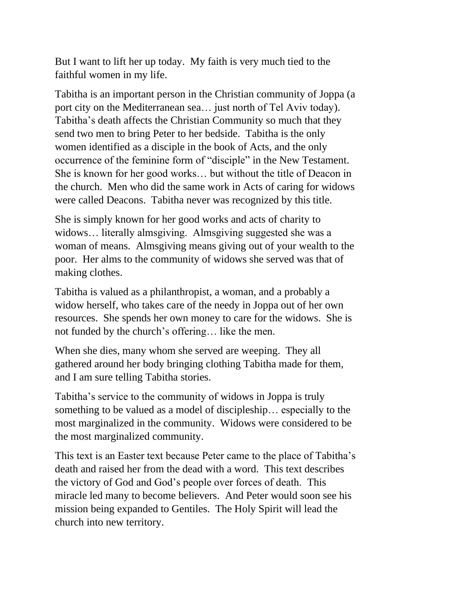But I want to lift her up today. My faith is very much tied to the faithful women in my life.

Tabitha is an important person in the Christian community of Joppa (a port city on the Mediterranean sea… just north of Tel Aviv today). Tabitha's death affects the Christian Community so much that they send two men to bring Peter to her bedside. Tabitha is the only women identified as a disciple in the book of Acts, and the only occurrence of the feminine form of "disciple" in the New Testament. She is known for her good works… but without the title of Deacon in the church. Men who did the same work in Acts of caring for widows were called Deacons. Tabitha never was recognized by this title.

She is simply known for her good works and acts of charity to widows… literally almsgiving. Almsgiving suggested she was a woman of means. Almsgiving means giving out of your wealth to the poor. Her alms to the community of widows she served was that of making clothes.

Tabitha is valued as a philanthropist, a woman, and a probably a widow herself, who takes care of the needy in Joppa out of her own resources. She spends her own money to care for the widows. She is not funded by the church's offering… like the men.

When she dies, many whom she served are weeping. They all gathered around her body bringing clothing Tabitha made for them, and I am sure telling Tabitha stories.

Tabitha's service to the community of widows in Joppa is truly something to be valued as a model of discipleship… especially to the most marginalized in the community. Widows were considered to be the most marginalized community.

This text is an Easter text because Peter came to the place of Tabitha's death and raised her from the dead with a word. This text describes the victory of God and God's people over forces of death. This miracle led many to become believers. And Peter would soon see his mission being expanded to Gentiles. The Holy Spirit will lead the church into new territory.